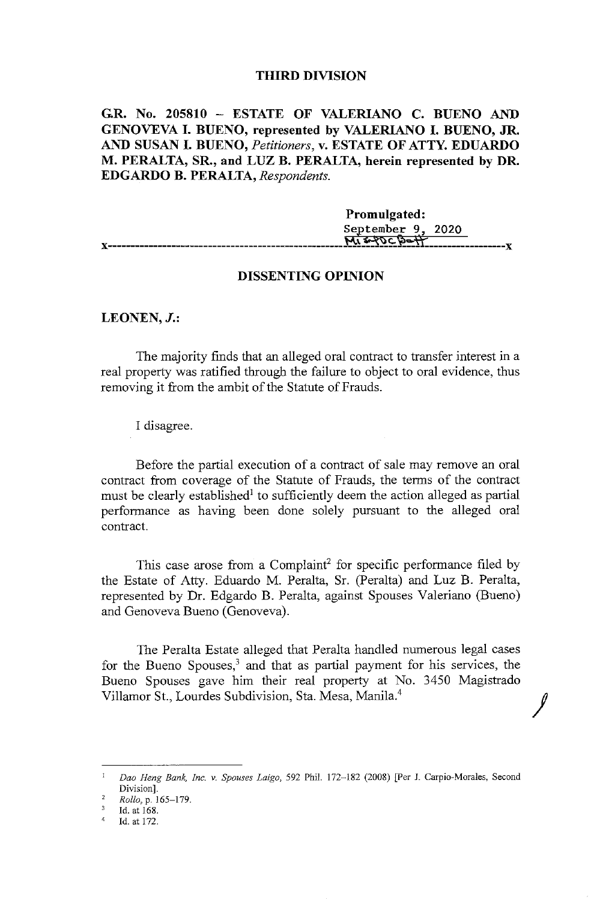## **THIRD DIVISION**

**G.R. No. 205810** - **ESTATE OF VALERIANO C. BUENO AND GENOVEVA** I. **BUENO, represented by VALERIANO** I. **BUENO, JR. AND SUSAN** I. **BUENO,** *Petitioners,* **v. ESTATE OF ATTY. EDUARDO M. PERALTA, SR., and LUZ B. PERALTA, herein represented by DR. EDGARDO B. PERALTA,** *Respondents.* 

**Promulgated:**  September 9, 2020  $M_{1}$  s-20 $C_{D}$ of **X** 

# **DISSENTING OPINION**

## **LEONEN,J.:**

The majority finds that an alleged oral contract to transfer interest in a real property was ratified through the failure to object to oral evidence, thus removing it from the ambit of the Statute of Frauds.

I disagree.

Before the partial execution of a contract of sale may remove an oral contract from coverage of the Statute of Frauds, the terms of the contract must be clearly established<sup>1</sup> to sufficiently deem the action alleged as partial performance as having been done solely pursuant to the alleged oral contract.

This case arose from a Complaint<sup>2</sup> for specific performance filed by the Estate of Atty. Eduardo M. Peralta, Sr. (Peralta) and Luz B. Peralta, represented by Dr. Edgardo B. Peralta, against Spouses Valeriano (Bueno) and Genoveva Bueno (Genoveva).

The Peralta Estate alleged that Peralta handled numerous legal cases for the Bueno Spouses, $3$  and that as partial payment for his services, the Bueno Spouses gave him their real property at No. 3450 Magistrado Villamar St., Lourdes Subdivision, Sta. Mesa, Manila.<sup>4</sup>

J

<sup>1</sup>*Dao Heng Bank, Inc. v. Spouses Laigo,* 592 Phil. 172-182 (2008) [Per J. Carpio-Morales, Second Division].

<sup>2</sup>*Rollo,p.* 165-179.

Id.at 168.

<sup>4</sup>Id. at 172.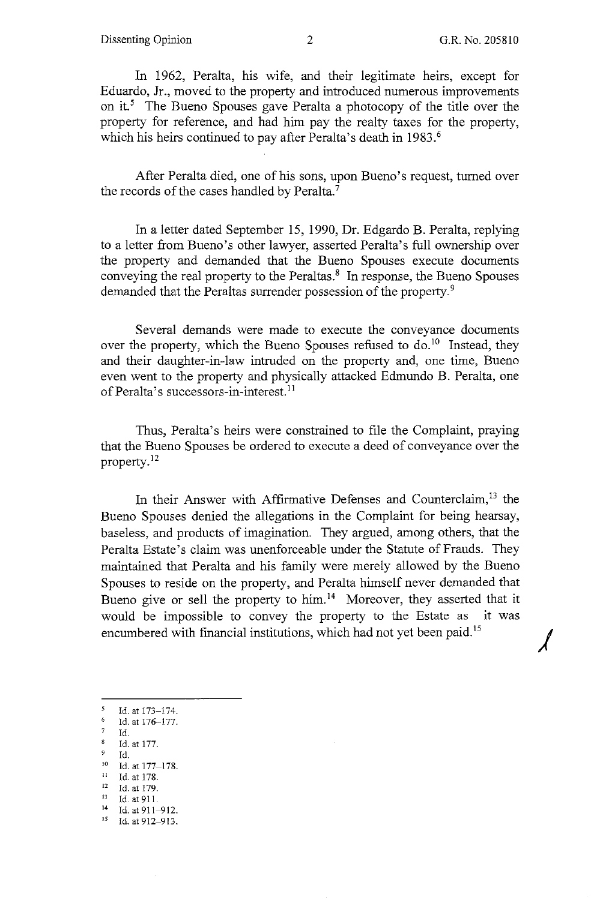*j* 

In 1962, Peralta, his wife, and their legitimate heirs, except for Eduardo, Jr., moved to the property and introduced numerous improvements on it.<sup>5</sup> The Bueno Spouses gave Peralta a photocopy of the title over the property for reference, and had him pay the realty taxes for the property, which his heirs continued to pay after Peralta's death in 1983.<sup>6</sup>

After Peralta died, one of his sons, upon Bueno's request, turned over the records of the cases handled by Peralta.<sup>7</sup>

In a letter dated September 15, 1990, Dr. Edgardo B. Peralta, replying to a letter from Bueno's other lawyer, asserted Peralta's full ownership over the property and demanded that the Bueno Spouses execute documents conveying the real property to the Peraltas.<sup>8</sup> In response, the Bueno Spouses demanded that the Peraltas surrender possession of the property.<sup>9</sup>

Several demands were made to execute the conveyance documents over the property, which the Bueno Spouses refused to  $\delta$  do.<sup>10</sup> Instead, they and their daughter-in-law intruded on the property and, one time, Bueno even went to the property and physically attacked Edmundo B. Peralta, one of Peralta's successors-in-interest.<sup>11</sup>

Thus, Peralta's heirs were constrained to file the Complaint, praying that the Bueno Spouses be ordered to execute a deed of conveyance over the property. <sup>12</sup>

In their Answer with Affirmative Defenses and Counterclaim,<sup>13</sup> the Bueno Spouses denied the allegations in the Complaint for being hearsay, baseless, and products of imagination. They argued, among others, that the Peralta Estate's claim was unenforceable under the Statute of Frauds. They maintained that Peralta and his family were merely allowed by the Bueno Spouses to reside on the property, and Peralta himself never demanded that Bueno give or sell the property to him.<sup>14</sup> Moreover, they asserted that it would be impossible to convey the property to the Estate as it was encumbered with financial institutions, which had not yet been paid. <sup>15</sup>

- 5 Id. at 173-174.
- $\frac{6}{7}$  Id. at 176-177.<br>  $\frac{7}{8}$  Id.
- 
- $\frac{8}{9}$  Id. at 177.
- 9 Id.<br>
<sup>10</sup> Id. at 177-178.<br>
<sup>11</sup> Id. at 179.<br>
<sup>13</sup> Id. at 911.<br>
<sup>14</sup> Id. at 911-912.
- 
- 
- 
- 
- <sup>15</sup> Id. at 912-913.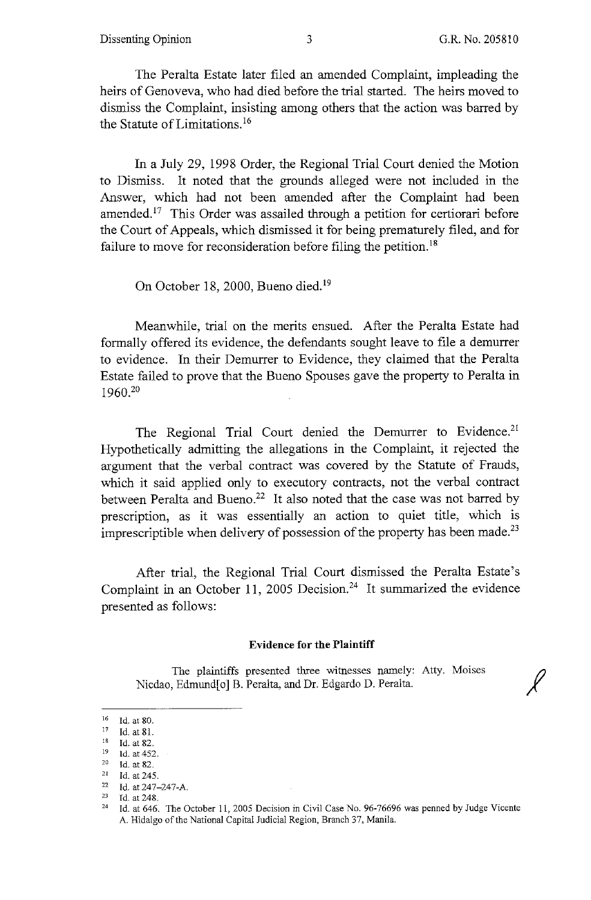The Peralta Estate later filed an amended Complaint, impleading the heirs of Genoveva, who had died before the trial started. The heirs moved to dismiss the Complaint, insisting among others that the action was barred by the Statute of Limitations.<sup>16</sup>

In a July 29, 1998 Order, the Regional Trial Court denied the Motion to Dismiss. It noted that the grounds alleged were not included in the Answer, which had not been amended after the Complaint had been amended.<sup>17</sup> This Order was assailed through a petition for certiorari before the Court of Appeals, which dismissed it for being prematurely filed, and for failure to move for reconsideration before filing the petition.<sup>18</sup>

On October 18, 2000, Bueno died.<sup>19</sup>

Meanwhile, trial on the merits ensued. After the Peralta Estate had formally offered its evidence, the defendants sought leave to file a demurrer to evidence. In their Demurrer to Evidence, they claimed that the Peralta Estate failed to prove that the Bueno Spouses gave the property to Peralta in 1960.20

The Regional Trial Court denied the Demurrer to Evidence.<sup>21</sup> Hypothetically admitting the allegations in the Complaint, it rejected the argument that the verbal contract was covered by the Statute of Frauds, which it said applied only to executory contracts, not the verbal contract between Peralta and Bueno.<sup>22</sup> It also noted that the case was not barred by prescription, as it was essentially an action to quiet title, which is imprescriptible when delivery of possession of the property has been made.<sup>23</sup>

After trial, the Regional Trial Court dismissed the Peralta Estate's Complaint in an October 11, 2005 Decision.<sup>24</sup> It summarized the evidence presented as follows:

#### **Evidence for the Plaintiff**

The plaintiffs presented three witnesses namely: Atty. Moises Nicdao, Edmund[o] B. Peralta, and Dr. Edgardo D. Peralta.

 $\frac{16}{17}$  Id. at 80.

<sup>17</sup> Id. at 81.<br>
18 Id. at 82.<br>
19 Id. at 452.<br>
20 Id. at 82.<br>
11 Id. at 245.

 $2^2$  Id. at 247-247-A.<br>
<sup>23</sup> Id. at 248.

<sup>&</sup>lt;sup>24</sup> Id. at 646. The October 11, 2005 Decision in Civil Case No. 96-76696 was penned by Judge Vicente A. Hidalgo of the National Capital Judicial Region, Branch 37, Manila.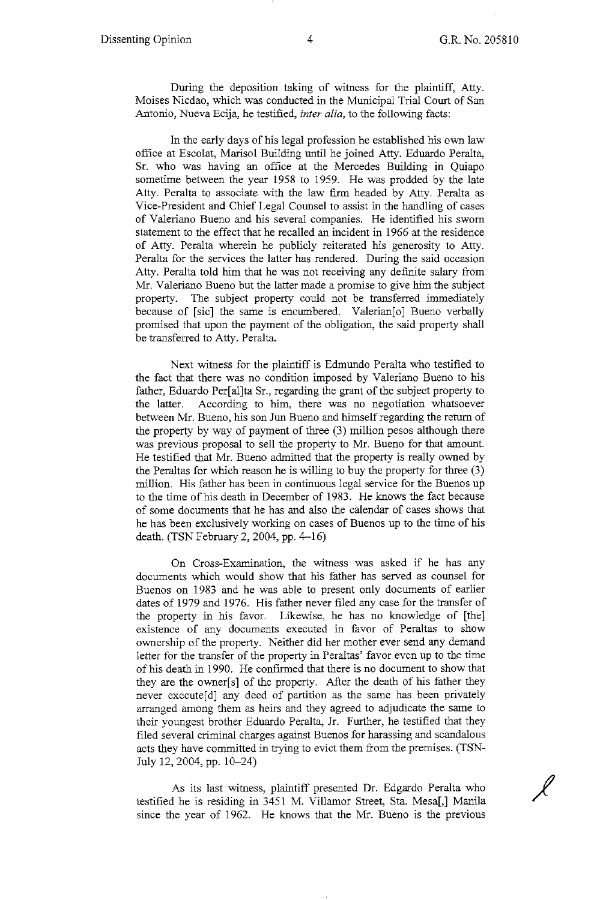$\overline{\mathscr{L}}$ 

During the deposition taking of witness for the plaintiff, Atty. Moises Nicdao, which was conducted in the Municipal Trial Court of San Antonio, Nueva Ecija, he testified, *inter alia,* to the following facts:

In the early days of his legal profession he established his own law office at Escolat, Marisol Building until he joined Atty. Eduardo Peralta, Sr. who was having an office at the Mercedes Building in Quiapo sometime between the year 1958 to 1959. He was prodded by the late Atty. Peralta to associate with the law firm headed by Atty. Peralta as Vice-President and Chief Legal Counsel to assist in the handling of cases of Valeriano Bueno and his several companies. He identified his sworn statement to the effect that he recalled an incident in 1966 at the residence of Atty. Peralta wherein he publicly reiterated his generosity to Atty. Peralta for the services the latter has rendered. During the said occasion Atty. Peralta told him that he was not receiving any definite salary from Mr. Valeriano Bueno but the latter made a promise to give him the subject property. The subject property could not be transferred immediately because of [sic] the same is encumbered. Valerian<sup>[0]</sup> Bueno verbally promised that upon the payment of the obligation, the said property shall be transferred to Atty. Peralta.

Next witness for the plaintiff is Edmundo Peralta who testified to the fact that there was no condition imposed by Valeriano Bueno to his father, Eduardo Per[al]ta Sr., regarding the grant of the subject property to the latter. According to him, there was no negotiation whatsoever between Mr. Bueno, his son Jun Bueno and himself regarding the return of the property by way of payment of three (3) million pesos although there was previous proposal to sell the property to Mr. Bueno for that amount. He testified that Mr. Bueno admitted that the property is really owned by the Peraltas for which reason he is willing to buy the property for three (3) million. His father has been in continuous legal service for the Buenos up to the time of his death in December of 1983. He knows the fact because of some documents that he has and also the calendar of cases shows that he has been exclusively working on cases of Buenos up to the time of his death. (TSN February 2, 2004, pp. 4-16)

On Cross-Examination, the witness was asked if he has any documents which would show that his father has served as counsel for Buenos on 1983 and he was able to present only documents of earlier dates of 1979 and 1976. His father never filed any case for the transfer of the property in his favor. Likewise, he has no knowledge of [the] existence of any documents executed in favor of Peraltas to show ownership of the property. Neither did her mother ever send any demand letter for the transfer of the property in Peraltas' favor even up to the time of his death in 1990. He confirmed that there is no document to show that they are the owner[s] of the property. After the death of his father they never execute[d] any deed of partition as the same has been privately arranged among them as heirs and they agreed to adjudicate the same to their youngest brother Eduardo Peralta, Jr. Further, he testified that they filed several criminal charges against Buenos for harassing and scandalous acts they have committed in trying to evict them from the premises. (TSN-July 12, 2004, pp. 10-24)

As its last witness, plaintiff presented Dr. Edgardo Peralta who testified he is residing in 3451 M. Villamor Street, Sta. Mesa[,] Manila since the year of 1962. He knows that the Mr. Bueno is the previous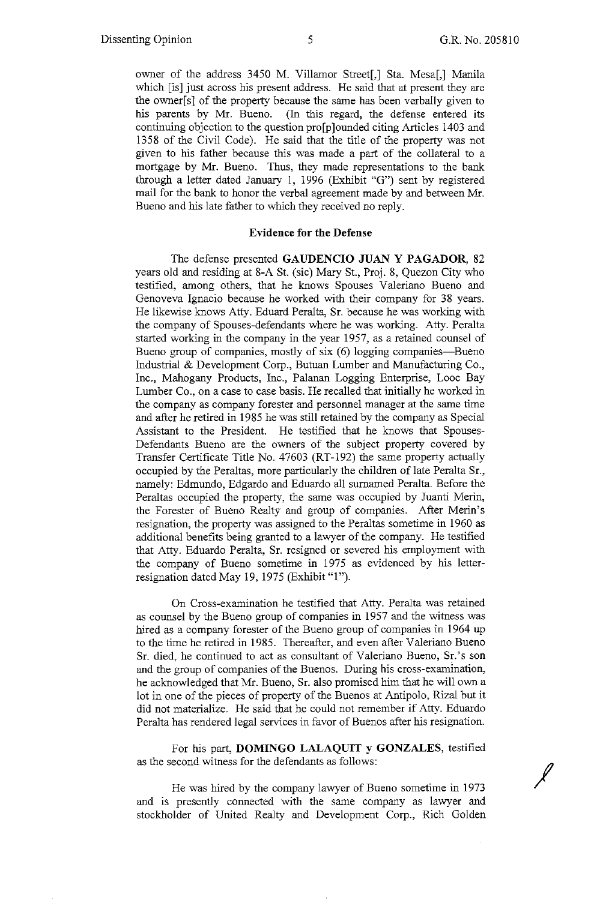*I* 

owner of the address 3450 M. Villamor Street[,] Sta. Mesa[,] Manila which [is] just across his present address. He said that at present they are the owner $[s]$  of the property because the same has been verbally given to his parents by Mr. Bueno. (In this regard, the defense entered its continuing objection to the question pro[p]ounded citing Articles 1403 and 1358 of the Civil Code). He said that the title of the property was not given to his father because this was made a part of the collateral to a mortgage by Mr. Bueno. Thus, they made representations to the bank through a letter dated January I, 1996 (Exhibit "G") sent by registered mail for the bank to honor the verbal agreement made by and between Mr. Bueno and his late father to which they received no reply.

# **Evidence for the Defense**

The defense presented **GAUDENCIO JUAN Y PAGADOR,** 82 years old and residing at 8-A St. (sic) Mary St., Proj. 8, Quezon City who testified, among others, that he knows Spouses Valeriano Bueno and Genoveva Ignacio because he worked with their company for 38 years. He likewise knows Atty. Eduard Peralta, Sr. because he was working with the company of Spouses-defendants where he was working. Atty. Peralta started working in the company in the year 1957, as a retained counsel of Bueno group of companies, mostly of six (6) logging companies—Bueno Industrial & Development Corp., Butuan Lumber and Manufacturing Co., Inc., Mahogany Products, Inc., Palanan Logging Enterprise, Looc Bay Lumber Co., on a case to case basis. He recalled that initially he worked in the company as company forester and personnel manager at the same time and after he retired in 1985 he was still retained by the company as Special Assistant to the President. He testified that he knows that Spouses-Defendants Bueno are the owners of the subject property covered by Transfer Certificate Title No. 47603 (RT-192) the same property actually occupied by the Peraltas, more particularly the children of late Peralta Sr., namely: Edmundo, Edgardo and Eduardo all surnamed Peralta. Before the Peraltas occupied the property, the same was occupied by Juanti Merin, the Forester of Bueno Realty and group of companies. After Merin's resignation, the property was assigned to the Peraltas sometime in 1960 as additional benefits being granted to a lawyer of the company. He testified that Atty. Eduardo Peralta, Sr. resigned or severed his employment with the company of Bueno sometime in 1975 as evidenced by his letterresignation dated May 19, 1975 (Exhibit "1").

On Cross-examination he testified that Atty. Peralta was retained as counsel by the Bueno group of companies in 1957 and the witness was hired as a company forester of the Bueno group of companies in 1964 up to the time he retired in 1985. Thereafter, and even after Valeriano Bueno Sr. died, he continued to act as consultant of Valeriano Bueno, Sr.'s son and the group of companies of the Buenos. During his cross-examination, he acknowledged that Mr. Bueno, Sr. also promised him that he will own a lot in one of the pieces of property of the Buenos at Antipolo, Rizal but it did not materialize. He said that he could not remember if Atty. Eduardo Peralta has rendered legal services in favor of Buenos after his resignation.

For his part, **DOMINGO LALAQUIT y GONZALES,** testified as the second witness for the defendants as follows:

He was hired by the company lawyer of Bueno sometime in 1973 and is presently connected with the same company as lawyer and stockholder of United Realty and Development Corp., Rich Golden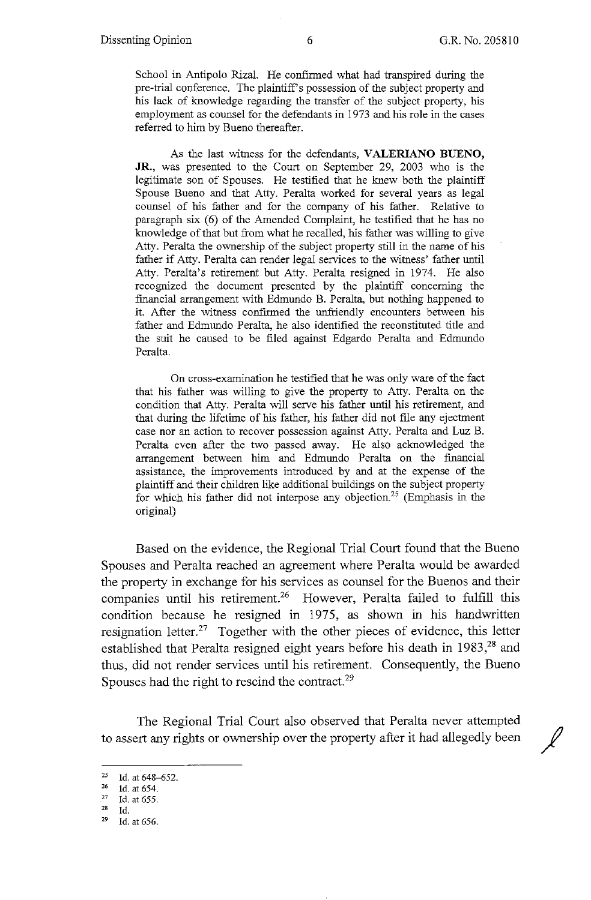School in Antipolo Rizal. He confirmed what had transpired during the pre-trial conference. The plaintiff's possession of the subject property and his lack of knowledge regarding the transfer of the subject property, his employment as counsel for the defendants in 1973 and his role in the cases referred to him by Bueno thereafter.

As the last witness for the defendants, **VALERIANO BUENO, JR.,** was presented to the Court on September 29, 2003 who is the legitimate son of Spouses. He testified that he knew both the plaintiff Spouse Bueno and that Atty. Peralta worked for several years as legal counsel of his father and for the company of his father. Relative to paragraph six (6) of the Amended Complaint, he testified that he has no knowledge of that but from what he recalled, his father was willing to give Atty. Peralta the ownership of the subject property still in the name of his father if Atty. Peralta can render legal services to the witness' father until Atty. Peralta's retirement but Atty. Peralta resigned in 1974. He also recognized the document presented by the plaintiff concerning the financial arrangement with Edmundo B. Peralta, but nothing happened to it. After the witness confirmed the unfriendly encounters between his father and Edmundo Peralta, he also identified the reconstituted title and the suit he caused to be filed against Edgardo Peralta and Edmundo Peralta.

On cross-examination he testified that he was only ware of the fact that his father was willing to give the property to Atty. Peralta on the condition that Atty. Peralta will serve his father until his retirement, and that during the lifetime of his father, his father did not file any ejectment case nor an action to recover possession against Atty. Peralta and Luz B. Peralta even after the two passed away. He also acknowledged the arrangement between him and Edmundo Peralta on the financial assistance, the improvements introduced by and at the expense of the plaintiff and their children like additional buildings on the subject property for which his father did not interpose any objection.<sup>25</sup> (Emphasis in the original)

Based on the evidence, the Regional Trial Court found that the Bueno Spouses and Peralta reached an agreement where Peralta would be awarded the property in exchange for his services as counsel for the Buenos and their companies until his retirement.<sup>26</sup> However, Peralta failed to fulfill this condition because he resigned in 1975, as shown in his handwritten resignation letter.<sup>27</sup> Together with the other pieces of evidence, this letter established that Peralta resigned eight years before his death in  $1983<sup>28</sup>$  and thus, did not render services until his retirement. Consequently, the Bueno Spouses had the right to rescind the contract.<sup>29</sup>

The Regional Trial Court also observed that Peralta never attempted to assert any rights or ownership over the property after it had allegedly been /

<sup>&</sup>lt;sup>25</sup> 1d. at 648-652.<br>
<sup>26</sup> 1d. at 654.<br>
<sup>27</sup> Id. at 655.

Id.

<sup>29</sup> Id. at 656.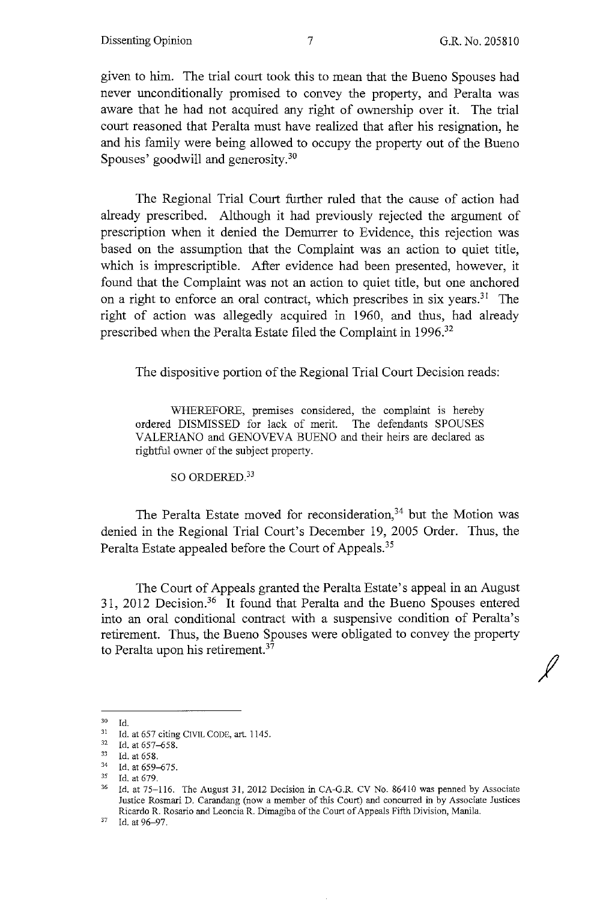*I* 

given to him. The trial court took this to mean that the Bueno Spouses had never unconditionally promised to convey the property, and Peralta was aware that he had not acquired any right of ownership over it. The trial court reasoned that Peralta must have realized that after his resignation, he and his family were being allowed to occupy the property out of the Bueno Spouses' goodwill and generosity.<sup>30</sup>

The Regional Trial Court further ruled that the cause of action had already prescribed. Although it had previously rejected the argument of prescription when it denied the Demurrer to Evidence, this rejection was based on the assumption that the Complaint was an action to quiet title, which is imprescriptible. After evidence had been presented, however, it found that the Complaint was not an action to quiet title, but one anchored on a right to enforce an oral contract, which prescribes in six years.<sup>31</sup> The right of action was allegedly acquired in 1960, and thus, had already prescribed when the Peralta Estate filed the Complaint in 1996.<sup>32</sup>

The dispositive portion of the Regional Trial Court Decision reads:

WHEREFORE, premises considered, the complaint is hereby ordered DISMISSED for lack of merit. The defendants SPOUSES VALERIANO and GENOVEVA BUENO and their heirs are declared as rightful owner of the subject property.

SO ORDERED.<sup>33</sup>

The Peralta Estate moved for reconsideration,<sup>34</sup> but the Motion was denied in the Regional Trial Court's December 19, 2005 Order. Thus, the Peralta Estate appealed before the Court of Appeals.<sup>35</sup>

The Court of Appeals granted the Peralta Estate's appeal in an August 31, 2012 Decision.36 It found that Peralta and the Bueno Spouses entered into an oral conditional contract with a suspensive condition of Peralta's retirement. Thus, the Bueno Spouses were obligated to convey the property to Peralta upon his retirement.<sup>37</sup>

<sup>30</sup>**Id.** 

<sup>31</sup> Id. at 657 citing CIVIL CODE, art. 1145.<br>
<sup>32</sup> Id. at 657–658.<br>
<sup>33</sup> Id. at 658.<br>
<sup>34</sup> Id. at 659.

<sup>&</sup>lt;sup>34</sup> Id. at 659–675.<br><sup>35</sup> Id. at 679.<br><sup>36</sup> Id. at 75–116. The August 31, 2012 Decision in CA-G.R. CV No. 86410 was penned by Associate Justice Rosmari D. Carandang (now a member of this Court) and concurred in by Associate Justices Ricardo R. Rosario and Leoncia R. Dimagiba of the Court of Appeals Fifth Division, Manila.

<sup>&</sup>lt;sup>37</sup> Id. at 96-97.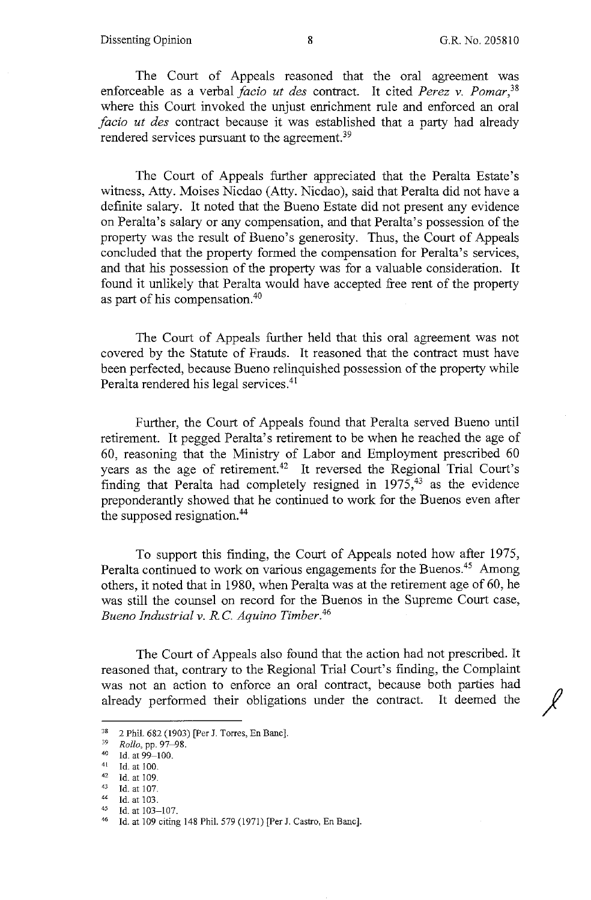The Court of Appeals reasoned that the oral agreement was enforceable as a verbal *facio ut des* contract. It cited *Perez v. Pomar,38*  where this Court invoked the unjust enrichment rule and enforced an oral *facio ut des* contract because it was established that a party had already rendered services pursuant to the agreement.<sup>39</sup>

The Court of Appeals further appreciated that the Peralta Estate's witness, Atty. Moises Nicdao (Atty. Nicdao), said that Peralta did not have a definite salary. It noted that the Bueno Estate did not present any evidence on Peralta's salary or any compensation, and that Peralta's possession of the property was the result of Bueno's generosity. Thus, the Court of Appeals concluded that the property formed the compensation for Peralta's services, and that his possession of the property was for a valuable consideration. It found it unlikely that Peralta would have accepted free rent of the property as part of his compensation.40

The Court of Appeals further held that this oral agreement was not covered by the Statute of Frauds. It reasoned that the contract must have been perfected, because Bueno relinquished possession of the property while Peralta rendered his legal services.<sup>41</sup>

Further, the Court of Appeals found that Peralta served Bueno until retirement. It pegged Peralta's retirement to be when he reached the age of 60, reasoning that the Ministry of Labor and Employment prescribed 60 years as the age of retirement.<sup>42</sup> It reversed the Regional Trial Court's finding that Peralta had completely resigned in  $1975$ ,<sup>43</sup> as the evidence preponderantly showed that he continued to work for the Buenos even after the supposed resignation.<sup>44</sup>

To support this finding, the Court of Appeals noted how after 1975, Peralta continued to work on various engagements for the Buenos.<sup>45</sup> Among others, it noted that in 1980, when Peralta was at the retirement age of 60, he was still the counsel on record for the Buenos in the Supreme Court case, *Bueno Industrial v. R.* C. *Aquino Timber. <sup>46</sup>*

The Court of Appeals also found that the action had not prescribed. It reasoned that, contrary to the Regional Trial Court's finding, the Complaint was not an action to enforce an oral contract, because both parties had already performed their obligations under the contract. It deemed the

<sup>&</sup>lt;sup>38</sup> 2 Phil. 682 (1903) [Per J. Torres, En Banc].<br><sup>39</sup> Pollar pp. 97, 98

<sup>39</sup> *Rollo, pp. 97-98.*<br>
40 Id. at 99-100.<br>
41 Id. at 100.<br>
42 Id. at 109.<br>
44 Id. at 103.<br>
45 Id. at 103.

<sup>&</sup>lt;sup>45</sup> Id. at 103-107.<br><sup>46</sup> Id. at 109 citing 148 Phil. 579 (1971) [Per J. Castro, En Banc].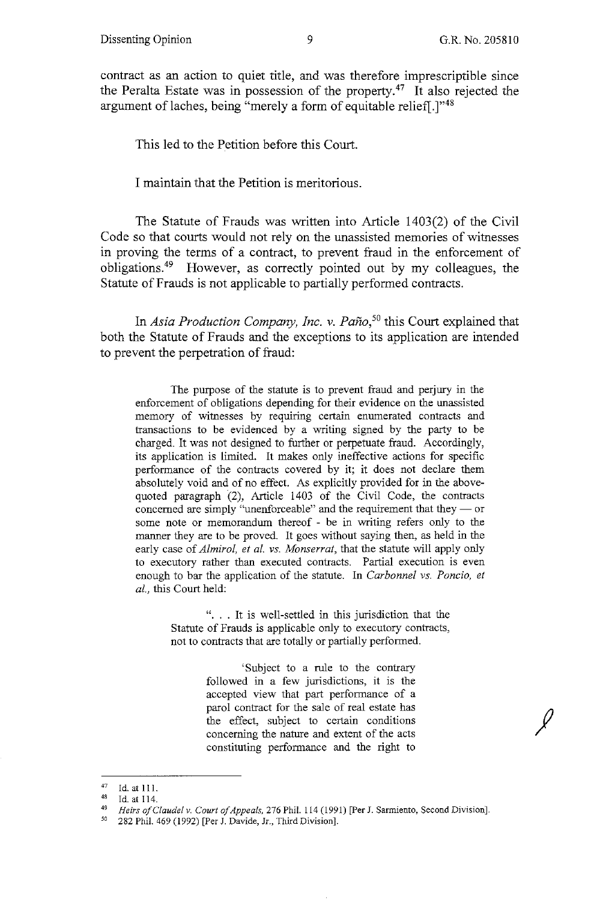contract as an action to quiet title, and was therefore imprescriptible since the Peralta Estate was in possession of the property.<sup>47</sup> It also rejected the argument of laches, being "merely a form of equitable relief[.]"<sup>48</sup>

This led to the Petition before this Court.

I maintain that the Petition is meritorious.

The Statute of Frauds was written into Article 1403(2) of the Civil Code so that courts would not rely on the unassisted memories of witnesses in proving the terms of a contract, to prevent fraud in the enforcement of obligations.49 However, as correctly pointed out by my colleagues, the Statute of Frauds is not applicable to partially performed contracts.

In *Asia Production Company, Inc. v. Pano,50* this Court explained that both the Statute of Frauds and the exceptions to its application are intended to prevent the perpetration of fraud:

The purpose of the statute is to prevent fraud and perjury in the enforcement of obligations depending for their evidence on the unassisted memory of witnesses by requiring certain enumerated contracts and transactions to be evidenced by a writing signed by the party to be charged. It was not designed to further or perpetuate fraud. Accordingly, its application is limited. It makes only ineffective actions for specific performance of the contracts covered by it; it does not declare them absolutely void and of no effect. As explicitly provided for in the abovequoted paragraph (2), Article 1403 of the Civil Code, the contracts concerned are simply "unenforceable" and the requirement that they  $-$  or some note or memorandum thereof - be in writing refers only to the manner they are to be proved. It goes without saying then, as held in the early case of *Almirol, et al. vs. Monserrat,* that the statute will apply only to executory rather than executed contracts. Partial execution is even enough to bar the application of the statute. In *Carbonnel vs. Poncio, et al.,* this Court held:

> "... It is well-settled in this jurisdiction that the Statute of Frauds is applicable only to executory contracts, not to contracts that are totally or partially performed.

> > 'Subject to a rule to the contrary followed in a few jurisdictions, it is the accepted view that part performance of a parol contract for the sale of real estate has the effect, subject to certain conditions concerning the nature and extent of the acts constituting performance and the right to

<sup>47</sup> Id. at 111.<br>48 Id. at 114.<br>49 *Hoirs of C* 

Heirs of Claudel v. Court of Appeals, 276 Phil. 114 (1991) [Per J. Sarmiento, Second Division].

*<sup>50</sup>* 282 Phil. 469 (1992) [Per J. Davide, Jr., Third Division].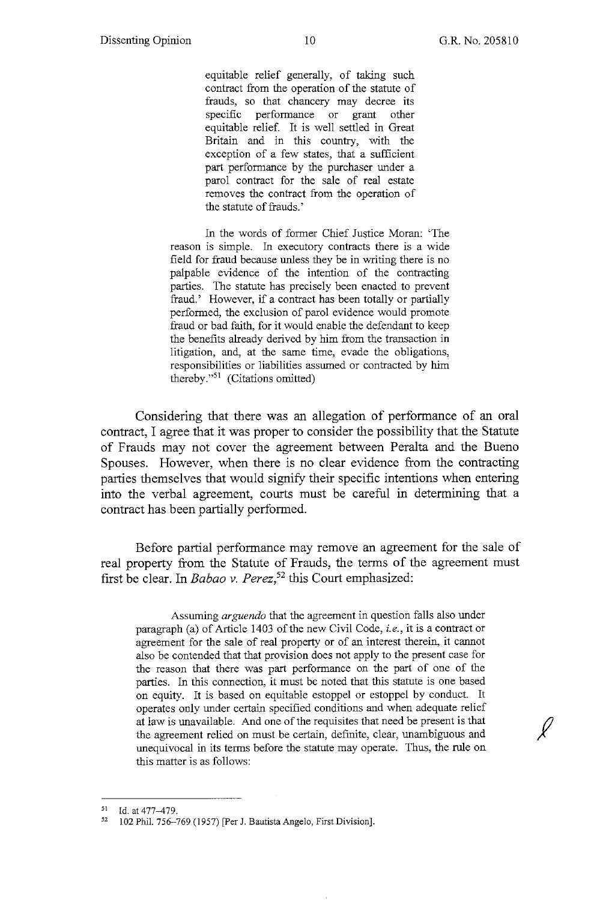equitable relief generally, of taking such contract from the operation of the statute of frauds, so that chancery may decree its specific performance or grant other equitable relief. It is well settled in Great Britain and in this country, with the exception of a few states, that a sufficient part performance by the purchaser under a parol contract for the sale of real estate removes the contract from the operation of the statute of frauds.'

In the words of former Chief Justice Moran: 'The reason is simple. In executory contracts there is a wide field for fraud because unless they be in writing there is no palpable evidence of the intention of the contracting parties. The statute has precisely been enacted to prevent fraud.' However, if a contract has been totally or partially performed, the exclusion of parol evidence would promote fraud or bad faith, for it would enable the defendant to keep the benefits already derived by him from the transaction in litigation, and, at the same time, evade the obligations, responsibilities or liabilities assumed or contracted by him thereby."51 (Citations omitted)

Considering that there was an allegation of performance of an oral contract, I agree that it was proper to consider the possibility that the Statute of Frauds may not cover the agreement between Peralta and the Bueno Spouses. However, when there is no clear evidence from the contracting parties themselves that would signify their specific intentions when entering into the verbal agreement, courts must be careful in determining that a contract has been partially performed.

Before partial performance may remove an agreement for the sale of real property from the Statute of Frauds, the terms of the agreement must first be clear. In *Babao v. Perez,52* this Court emphasized:

Assuming *arguendo* that the agreement in question falls also under paragraph (a) of Article 1403 of the new Civil Code, *i.e.,* it is a contract or agreement for the sale of real property or of an interest therein, it cannot also be contended that that provision does not apply to the present case for the reason that there was part performance on the part of one of the parties. In this connection, it must be noted that this statute is one based on equity. It is based on equitable estoppel or estoppel by conduct. It operates only under certain specified conditions and when adequate relief at law is unavailable. And one of the requisites that need be present is that the agreement relied on must be certain, definite, clear, unambiguous and unequivocal in its terms before the statute may operate. Thus, the rule on this matter is as follows:

 $^{51}$  Id. at 477-479.

<sup>52</sup> 102 Phil. 756-769 (1957) [Per J. Bautista Angelo, First Division].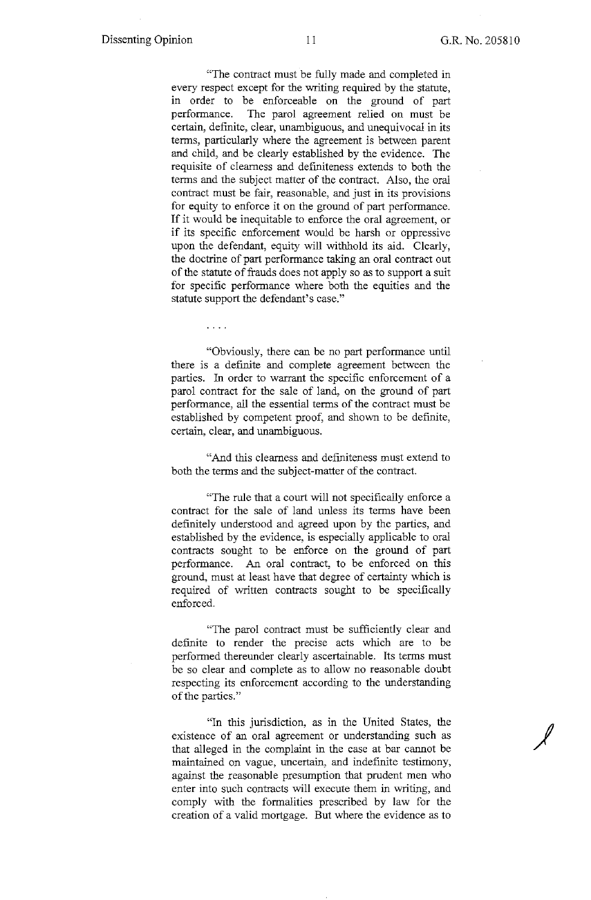*J* 

"The contract must be fully made and completed in every respect except for the writing required by the statute, in order to be enforceable on the ground of part performance. The parol agreement relied on must be certain, definite, clear, unambiguous, and unequivocal in its terms, particularly where the agreement is between parent and child, and be clearly established by the evidence. The requisite of clearness and definiteness extends to both the terms and the subject matter of the contract. Also, the oral contract must be fair, reasonable, and just in its provisions for equity to enforce it on the ground of part performance. If it would be inequitable to enforce the oral agreement, or if its specific enforcement would be harsh or oppressive upon the defendant, equity will withhold its aid. Clearly, the doctrine of part performance taking an oral contract out of the statute of frauds does not apply so as to support a suit for specific performance where both the equities and the statute support the defendant's case."

 $\ldots$  .

"Obviously, there can be no part performance until there is a definite and complete agreement between the parties. In order to warrant the specific enforcement of a parol contract for the sale of land, on the ground of part performance, all the essential terms of the contract must be established by competent proof, and shown to be definite, certain, clear, and unambiguous.

"And this clearness and definiteness must extend to both the terms and the subject-matter of the contract.

"The rule that a court will not specifically enforce a contract for the sale of land unless its terms have been definitely understood and agreed upon by the parties, and established by the evidence, is especially applicable to oral contracts sought to be enforce on the ground of part performance. An oral contract, to be enforced on this ground, must at least have that degree of certainty which is required of written contracts sought to be specifically enforced.

"The parol contract must be sufficiently clear and definite to render the precise acts which are to be performed thereunder clearly ascertainable. Its terms must be so clear and complete as to allow no reasonable doubt respecting its enforcement according to the understanding of the parties."

"In this jurisdiction, as in the United States, the existence of an oral agreement or understanding such as that alleged in the complaint in the case at bar cannot be maintained on vague, uncertain, and indefinite testimony, against the reasonable presumption that prudent men who enter into such contracts will execute them in writing, and comply with the formalities prescribed by law for the creation of a valid mortgage. But where the evidence as to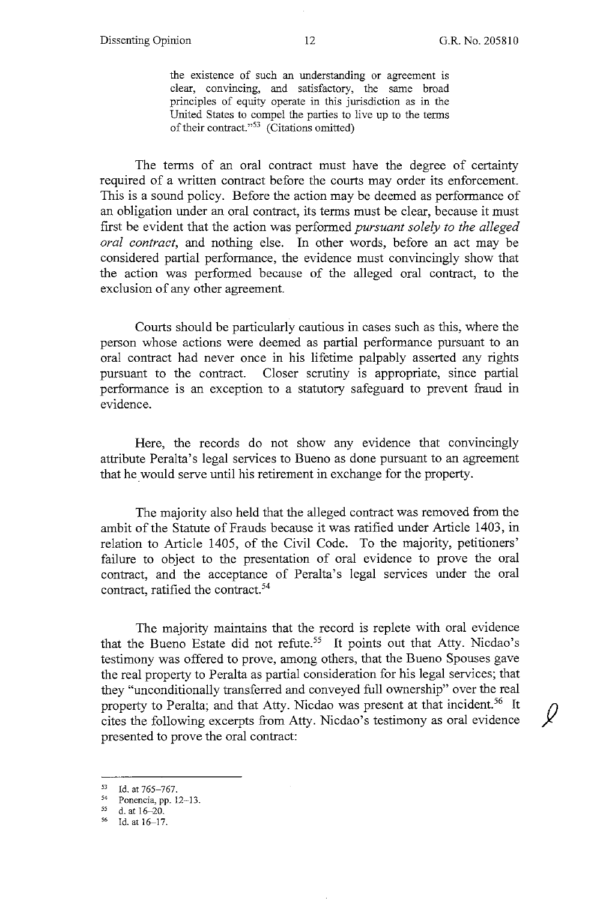the existence of such an understanding or agreement is clear, convincing, and satisfactory, the same broad principles of equity operate in this jurisdiction as in the United States to compel the parties to live up to the terms of their contract."53 (Citations omitted)

The terms of an oral contract must have the degree of certainty required of a written contract before the courts may order its enforcement. This is a sound policy. Before the action may be deemed as performance of an obligation under an oral contract, its terms must be clear, because it must first be evident that the action was performed *pursuant solely to the alleged oral contract,* and nothing else. In other words, before an act may be considered partial performance, the evidence must convincingly show that the action was performed because of the alleged oral contract, to the exclusion of any other agreement.

Courts should be particularly cautious in cases such as this, where the person whose actions were deemed as partial performance pursuant to an oral contract had never once in his lifetime palpably asserted any rights pursuant to the contract. Closer scrutiny is appropriate, since partial performance is an exception to a statutory safeguard to prevent fraud in evidence.

Here, the records do not show any evidence that convincingly attribute Peralta's legal services to Bueno as done pursuant to an agreement that he would serve until his retirement in exchange for the property.

The majority also held that the alleged contract was removed from the ambit of the Statute of Frauds because it was ratified under Article 1403, in relation to Article 1405, of the Civil Code. To the majority, petitioners' failure to object to the presentation of oral evidence to prove the oral contract, and the acceptance of Peralta's legal services under the oral contract, ratified the contract. 54

The majority maintains that the record is replete with oral evidence that the Bueno Estate did not refute.<sup>55</sup> It points out that Atty. Nicdao's testimony was offered to prove, among others, that the Bueno Spouses gave the real property to Peralta as partial consideration for his legal services; that they "unconditionally transferred and conveyed full ownership" over the real property to Peralta; and that Atty. Nicdao was present at that incident.<sup>56</sup> It cites the following excerpts from Atty. Nicdao's testimony as oral evidence presented to prove the oral contract:

 $^{53}$  Id. at 765-767.

 $^{54}$  Ponencia, pp. 12-13.<br> $^{55}$  d. at 16-20.

<sup>56</sup> Id. at 16-17.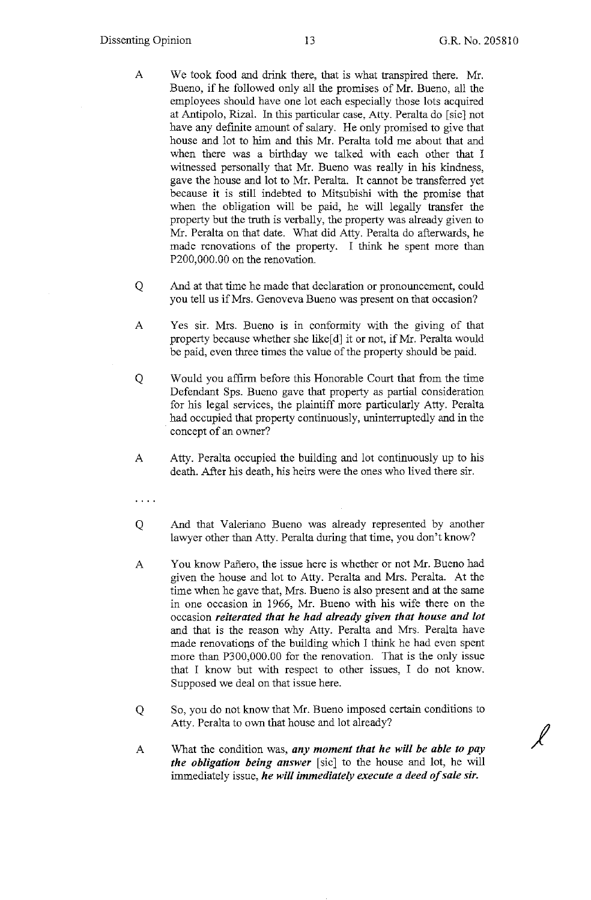*J* 

- A We took food and drink there, that is what transpired there. Mr. Bueno, if he followed only all the promises of Mr. Bueno, all the employees should have one lot each especially those lots acquired at Antipolo, Rizal. In this particular case, Atty. Peralta do [sic] not have any definite amount of salary. He only promised to give that house and lot to him and this Mr. Peralta told me about that and when there was a birthday we talked with each other that I witnessed personally that Mr. Bueno was really in his kindness, gave the house and lot to Mr. Peralta. It cannot be transferred yet because it is still indebted to Mitsubishi with the promise that when the obligation will be paid, he will legally transfer the property but the truth is verbally, the property was already given to Mr. Peralta on that date. What did Atty. Peralta do afterwards, he made renovations of the property. I think he spent more than P200,000.00 on the renovation.
- Q And at that time he made that declaration or pronouncement, could you tell us if Mrs. Genoveva Bueno was present on that occasion?
- A Yes sir. Mrs. Bueno is in conformity with the giving of that property because whether she like[d] it or not, if Mr. Peralta would be paid, even three times the value of the property should be paid.
- Q Would you affirm before this Honorable Court that from the time Defendant Sps. Bueno gave that property as partial consideration for his legal services, the plaintiff more particularly Atty. Peralta had occupied that property continuously, uninterruptedly and in the concept of an owner?
- A Atty. Peralta occupied the building and lot continuously up to his death. After his death, his heirs were the ones who lived there sir.
- $\cdots$  .
- Q And that Valeriano Bueno was already represented by another lawyer other than Atty. Peralta during that time, you don't know?
- A You know Pafiero, the issue here is whether or not Mr. Bueno had given the house and lot to Atty. Peralta and Mrs. Peralta. At the time when he gave that, Mrs. Bueno is also present and at the same in one occasion in 1966, Mr. Bueno with his wife there on the occasion *reiterated that he had already given that house and lot*  and that is the reason why Atty. Peralta and Mrs. Peralta have made renovations of the building which I think he had even spent more than P300,000.00 for the renovation. That is the only issue that I know but with respect to other issues, I do not know. Supposed we deal on that issue here.
- Q So, you do not know that Mr. Bueno imposed certain conditions to Atty. Peralta to own that house and lot already?
- A What the condition was, *any moment that he will be able to pay the obligation being answer* [sic] to the house and lot, he will immediately issue, *he will immediately execute a deed of sale sir.*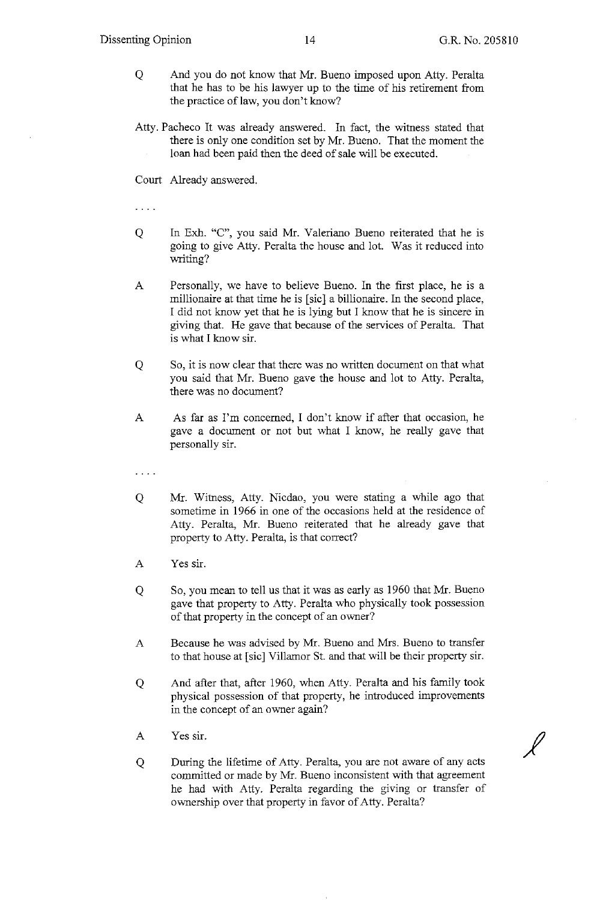$\overline{\mathscr{L}}$ 

- Q And you do not know that Mr. Bueno imposed upon Atty. Peralta that he has to be his lawyer up to the time of his retirement from the practice of law, you don't know?
- Atty. Pacheco It was already answered. In fact, the witness stated that there is only one condition set by Mr. Bueno. That the moment the loan had been paid then the deed of sale will be executed.

Court Already answered.

 $\mathbf{1}$  . The set of  $\mathbf{1}$ 

- Q In Exh. "C", you said Mr. Valeriano Bueno reiterated that he is going to give Atty. Peralta the house and Jot. Was it reduced into writing?
- A Personally, we have to believe Bueno. In the first place, he is a millionaire at that time he is [sic] a billionaire. In the second place, I did not know yet that he is lying but I know that he is sincere in giving that. He gave that because of the services of Peralta. That is what I know sir.
- Q So, it is now clear that there was no written document on that what you said that Mr. Bueno gave the house and lot to Atty. Peralta, there was no document?
- A As far as I'm concerned, I don't know if after that occasion, he gave a document or not but what I know, he really gave that personally sir.

 $\cdots$ 

- Q Mr. Witness, Atty. Nicdao, you were stating a while ago that sometime in 1966 in one of the occasions held at the residence of Atty. Peralta, Mr. Bueno reiterated that he already gave that property to Atty. Peralta, is that correct?
- A Yes sir.
- Q So, you mean to tell us that it was as early as 1960 that Mr. Bueno gave that property to Atty. Peralta who physically took possession of that property in the concept of an owner?
- A Because he was advised by Mr. Bueno and Mrs. Bueno to transfer to that house at [sic] Villamor St. and that will be their property sir.
- Q And after that, after 1960, when Atty. Peralta and his family took physical possession of that property, he introduced improvements in the concept of an owner again?
- A Yes sir.
- Q During the lifetime of Atty. Peralta, you are not aware of any acts committed or made by Mr. Bueno inconsistent with that agreement he had with Atty. Peralta regarding the giving or transfer of ownership over that property in favor of Atty. Peralta?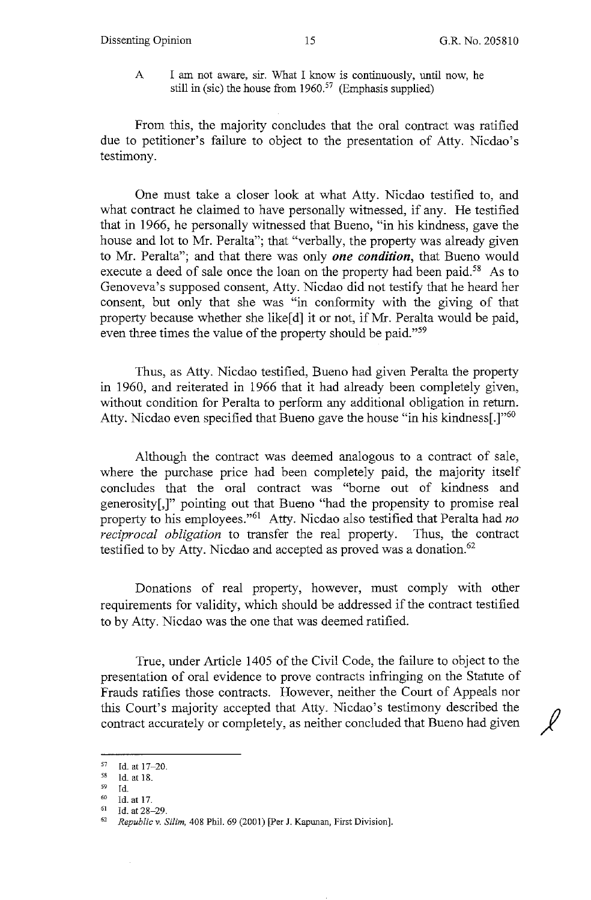A I am not aware, sir. What I know is continuously, until now, he still in (sic) the house from  $1960<sup>57</sup>$  (Emphasis supplied)

From this, the majority concludes that the oral contract was ratified due to petitioner's failure to object to the presentation of Atty. Nicdao's testimony.

One must take a closer look at what Atty. Nicdao testified to, and what contract he claimed to have personally witnessed, if any. He testified that in 1966, he personally witnessed that Bueno, "in his kindness, gave the house and lot to Mr. Peralta"; that "verbally, the property was already given to Mr. Peralta"; and that there was only *one condition,* that Bueno would execute a deed of sale once the loan on the property had been paid.<sup>58</sup> As to Genoveva's supposed consent, Atty. Nicdao did not testify that he heard her consent, but only that she was "in conformity with the giving of that property because whether she like[d] it or not, if Mr. Peralta would be paid, even three times the value of the property should be paid."<sup>59</sup>

Thus, as Atty. Nicdao testified, Bueno had given Peralta the property in 1960, and reiterated in 1966 that it had already been completely given, without condition for Peralta to perform any additional obligation in return. Atty. Nicdao even specified that Bueno gave the house "in his kindness.]<sup>"60</sup>

Although the contract was deemed analogous to a contract of sale, where the purchase price had been completely paid, the majority itself concludes that the oral contract was "borne out of kindness and generosity[,]" pointing out that Bueno "had the propensity to promise real property to his employees."61 Atty. Nicdao also testified that Peralta had *no reciprocal obligation* to transfer the real property. Thus, the contract testified to by Atty. Nicdao and accepted as proved was a donation.<sup>62</sup>

Donations of real property, however, must comply with other requirements for validity, which should be addressed if the contract testified to by Atty. Nicdao was the one that was deemed ratified.

True, under Article 1405 of the Civil Code, the failure to object to the presentation of oral evidence to prove contracts infringing on the Statute of Frauds ratifies those contracts. However, neither the Court of Appeals nor this Court's majority accepted that Atty. Nicdao's testimony described the *I}*  contract accurately or completely, as neither concluded that Bueno had given

 $^{57}$  Id. at 17-20.<br>  $^{58}$  Id. at 18.<br>  $^{59}$  Id

<sup>59</sup> Id.<br><sup>60</sup> Id. at 17.<br><sup>61</sup> *Id.* at 28–29.<br><sup>62</sup> *Republic v. Silim,* 408 Phil. 69 (2001) [Per J. Kapunan, First Division].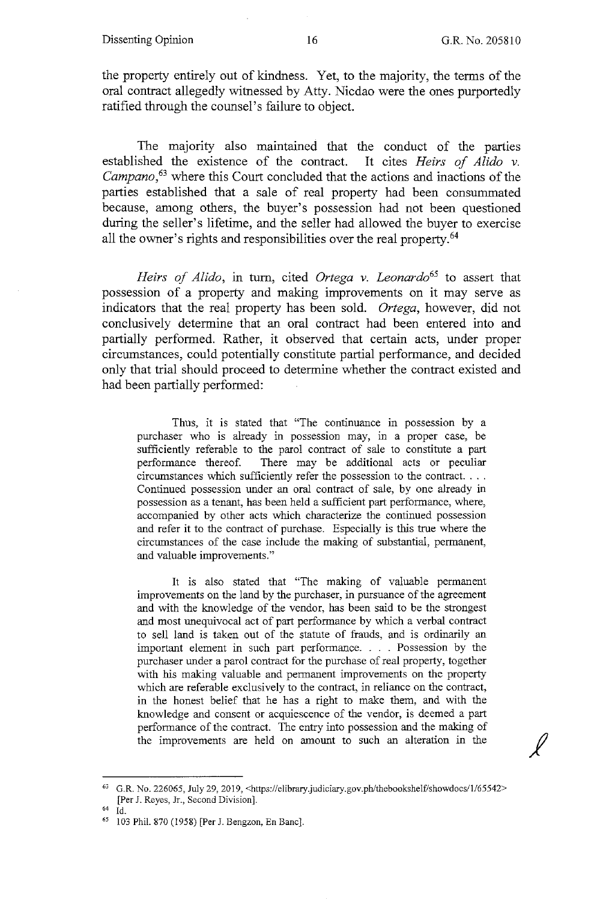the property entirely out of kindness. Yet, to the majority, the terms of the oral contract allegedly witnessed by Atty. Nicdao were the ones purportedly ratified through the counsel's failure to object.

The majority also maintained that the conduct of the parties established the existence of the contract. It cites *Heirs of Alida v. Campano,<sup>63</sup>*where this Court concluded that the actions and inactions of the parties established that a sale of real property had been consummated because, among others, the buyer's possession had not been questioned during the seller's lifetime, and the seller had allowed the buyer to exercise all the owner's rights and responsibilities over the real property.<sup>64</sup>

*Heirs of Alido*, in turn, cited *Ortega v. Leonardo*<sup>65</sup> to assert that possession of a property and making improvements on it may serve as indicators that the real property has been sold. *Ortega,* however, did not conclusively determine that an oral contract had been entered into and partially performed. Rather, it observed that certain acts, under proper circumstances, could potentially constitute partial performance, and decided only that trial should proceed to determine whether the contract existed and had been partially performed:

Thus, it is stated that "The continuance in possession by a purchaser who is already in possession may, in a proper case, be sufficiently referable to the parol contract of sale to constitute a part performance thereof. There may be additional acts or peculiar circumstances which sufficiently refer the possession to the contract .... Continued possession under an oral contract of sale, by one already in possession as a tenant, has been held a sufficient part performance, where, accompanied by other acts which characterize the continued possession and refer it to the contract of purchase. Especially is this true where the circumstances of the case include the making of substantial, permanent, and valuable improvements."

It is also stated that "The making of valuable permanent improvements on the land by the purchaser, in pursuance of the agreement and with the knowledge of the vendor, has been said to be the strongest and most unequivocal act of part performance by which a verbal contract to sell land is taken out of the statute of frauds, and is ordinarily an important element in such part performance. . . . Possession by the purchaser under a parol contract for the purchase of real property, together with his making valuable and permanent improvements on the property which are referable exclusively to the contract, in reliance on the contract, in the honest belief that he has a right to make them, and with the knowledge and consent or acquiescence of the vendor, is deemed a part performance of the contract. The entry into possession and the making of the improvements are held on amount to such an alteration in the

<sup>63</sup> G.R. No. 226065, July 29, 2019, <https://elibrary.judiciary.gov.ph/thebookshelf/showdocs/1/65542> [Per J. Reyes, Jr., Second Division].

<sup>64</sup> Id.

<sup>65</sup> 103 Phil. 870 (1958) [Per J. Bengzon, En Banc].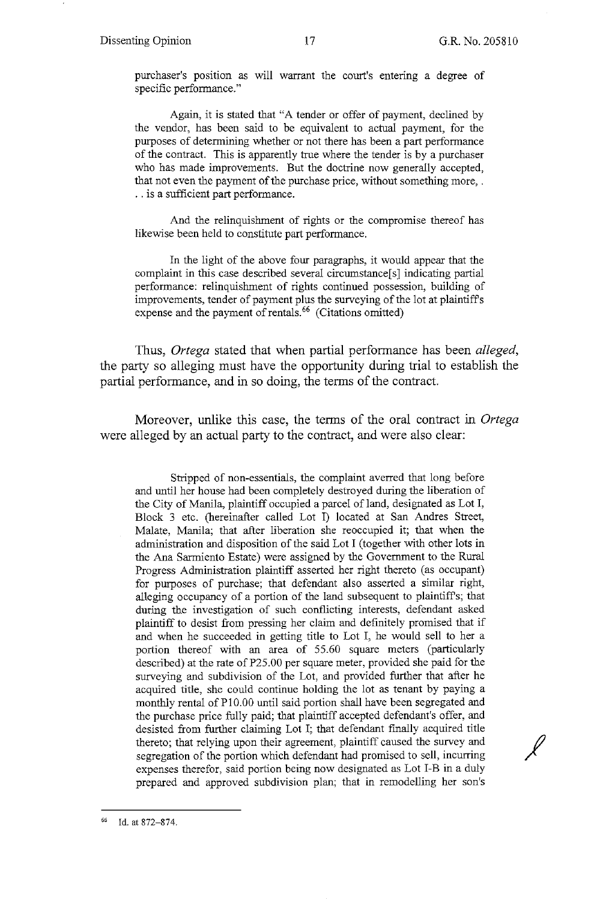$\overline{\ell}$ 

purchaser's position as will warrant the court's entering a degree of specific performance."

Again, it is stated that "A tender or offer of payment, declined by the vendor, has been said to be equivalent to actual payment, for the purposes of determining whether or not there has been a part performance of the contract. This is apparently true where the tender is by a purchaser who has made improvements. But the doctrine now generally accepted, that not even the payment of the purchase price, without something more, . . . is a sufficient part performance.

And the relinquishment of rights or the compromise thereof has likewise been held to constitute part performance.

In the light of the above four paragraphs, it would appear that the complaint in this case described several circumstance[s] indicating partial performance: relinquishment of rights continued possession, building of improvements, tender of payment plus the surveying of the lot at plaintiffs expense and the payment of rentals. $66$  (Citations omitted)

Thus, *Ortega* stated that when partial performance has been *alleged,*  the party so alleging must have the opportunity during trial to establish the partial performance, and in so doing, the terms of the contract.

Moreover, unlike this case, the terms of the oral contract in *Ortega*  were alleged by an actual party to the contract, and were also clear:

Stripped of non-essentials, the complaint averred that long before and until her house had been completely destroyed during the liberation of the City of Manila, plaintiff occupied a parcel of land, designated as Lot I, Block 3 etc. (hereinafter called Lot I) located at San Andres Street, Malate, Manila; that after liberation she reoccupied it; that when the administration and disposition of the said Lot I (together with other lots in the Ana Sarmiento Estate) were assigned by the Government to the Rural Progress Administration plaintiff asserted her right thereto (as occupant) for purposes of purchase; that defendant also asserted a similar right, alleging occupancy of a portion of the land subsequent to plaintiffs; that during the investigation of such conflicting interests, defendant asked plaintiff to desist from pressing her claim and definitely promised that if and when he succeeded in getting title to Lot I, he would sell to her a portion thereof with an area of 55.60 square meters (particularly described) at the rate of P25.00 per square meter, provided she paid for the surveying and subdivision of the Lot, and provided further that after he acquired title, she could continue holding the lot as tenant by paying a monthly rental of PI0.00 until said portion shall have been segregated and the purchase price fully paid; that plaintiff accepted defendant's offer, and desisted from further claiming Lot I; that defendant finally acquired title thereto; that relying upon their agreement, plaintiff caused the survey and segregation of the portion which defendant had promised to sell, incurring expenses therefor, said portion being now designated as Lot I-B in a duly prepared and approved subdivision plan; that in remodelling her son's

<sup>66</sup> Id. at 872-874.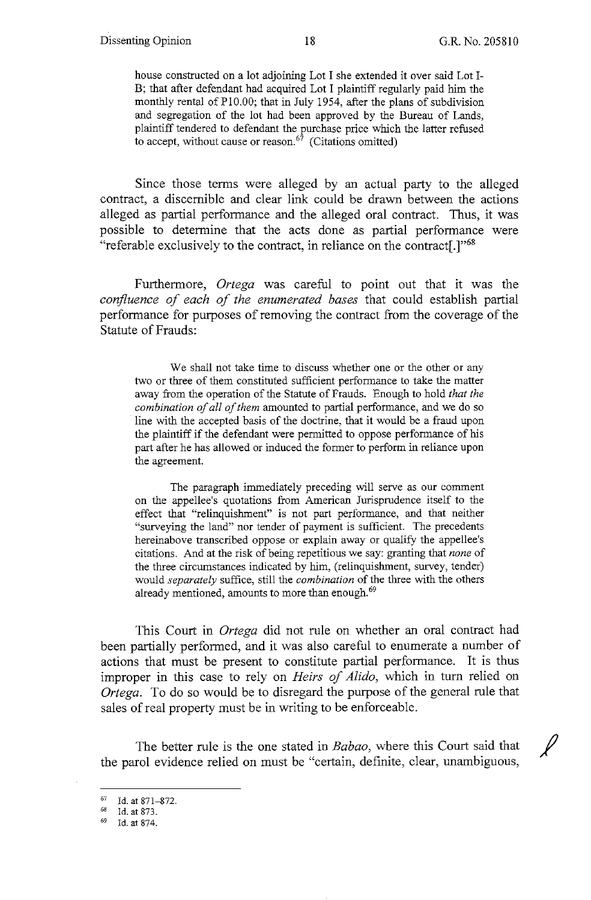house constructed on a lot adjoining Lot I she extended it over said Lot I-B; that after defendant had acquired Lot I plaintiff regularly paid him the monthly rental of Pl0.00; that in July 1954, after the plans of subdivision and segregation of the lot had been approved by the Bureau of Lands, plaintiff tendered to defendant the purchase price which the latter refused to accept, without cause or reason.<sup> $67$ </sup> (Citations omitted)

Since those terms were alleged by an actual party to the alleged contract, a discernible and clear link could be drawn between the actions alleged as partial performance and the alleged oral contract. Thus, it was possible to determine that the acts done as partial performance were "referable exclusively to the contract, in reliance on the contract[.]"68

Furthermore, *Ortega* was careful to point out that it was the *confluence of each of the enumerated bases* that could establish partial performance for purposes of removing the contract from the coverage of the Statute of Frauds:

We shall not take time to discuss whether one or the other or any two or three of them constituted sufficient performance to take the matter away from the operation of the Statute of Frauds. Enough to hold *that the combination of all of them* amounted to partial performance, and we do so line with the accepted basis of the doctrine, that it would be a fraud upon the plaintiff if the defendant were permitted to oppose performance of his part after he has allowed or induced the former to perform in reliance upon the agreement.

The paragraph immediately preceding will serve as our comment on the appellee's quotations from American Jurisprudence itself to the effect that "relinquishment" is not part performance, and that neither "surveying the land" nor tender of payment is sufficient. The precedents hereinabove transcribed oppose or explain away or qualify the appellee's citations. And at the risk of being repetitious we say: granting that *none* of the three circumstances indicated by him, (relinquishment, survey, tender) would *separately* suffice, still the *combination* of the three with the others already mentioned, amounts to more than enough.<sup>69</sup>

This Court in *Ortega* did not rule on whether an oral contract had been partially performed, and it was also careful to enumerate a number of actions that must be present to constitute partial performance. It is thus improper in this case to rely on *Heirs of Alido,* which in turn relied on *Ortega.* To do so would be to disregard the purpose of the general rule that sales of real property must be in writing to be enforceable.

The better rule is the one stated in *Babao*, where this Court said that the parol evidence relied on must be "certain, definite, clear, unambiguous,

 $^{67}$  Id. at 871-872.

 $^{68}$  Id. at 873.

Id. at 874.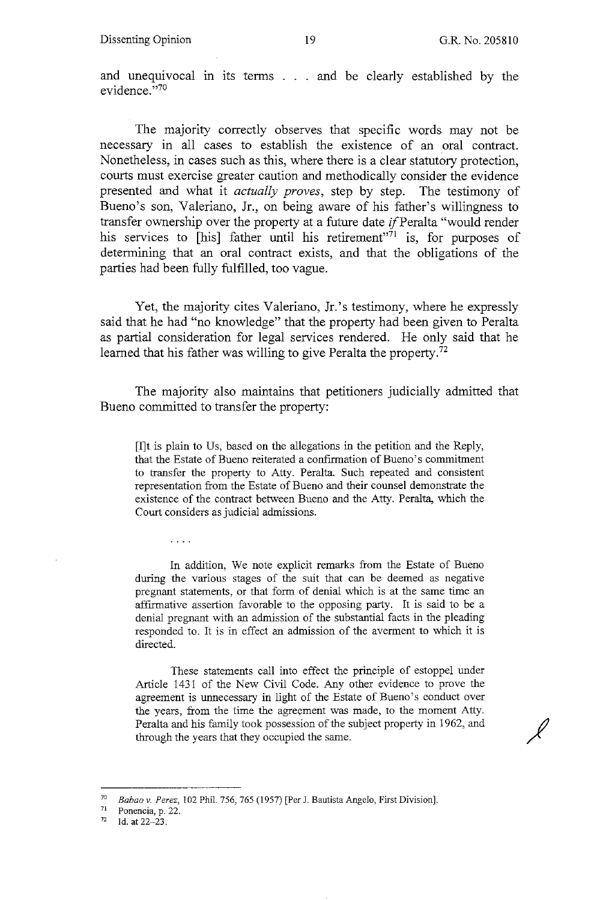$\cancel{\ell}$ 

and unequivocal in its terms . . . and be clearly established by the evidence."70

The majority correctly observes that specific words may not be necessary in all cases to establish the existence of an oral contract. Nonetheless, in cases such as this, where there is a clear statutory protection, courts must exercise greater caution and methodically consider the evidence presented and what it *actually proves,* step by step. The testimony of Bueno's son, Valeriano, Jr., on being aware of his father's willingness to transfer ownership over the property at a future date if Peralta "would render his services to  $[$ his] father until his retirement<sup> $n\bar{7}1$ </sup> is, for purposes of determining that an oral contract exists, and that the obligations of the parties had been fully fulfilled, too vague.

Yet, the majority cites Valeriano, Jr.'s testimony, where he expressly said that he had "no knowledge" that the property had been given to Peralta as partial consideration for legal services rendered. He only said that he learned that his father was willing to give Peralta the property.<sup>72</sup>

The majority also maintains that petitioners judicially admitted that Bueno committed to transfer the property:

[I]t is plain to Us, based on the allegations in the petition and the Reply, that the Estate of Bueno reiterated a confirmation of Bueno's commitment to transfer the property to Atty. Peralta. Such repeated and consistent representation from the Estate of Bueno and their counsel demonstrate the existence of the contract between Bueno and the Atty. Peralta, which the Court considers as judicial admissions.

In addition, We note explicit remarks from the Estate of Bueno during the various stages of the suit that can be deemed as negative pregnant statements, or that form of denial which is at the same time an affirmative assertion favorable to the opposing party. It is said to be a denial pregnant with an admission of the substantial facts in the pleading responded to. It is in effect an admission of the averment to which it is directed.

These statements call into effect the principle of estoppel under Article 1431 of the New Civil Code. Any other evidence to prove the agreement is unnecessary in light of the Estate of Bueno's conduct over the years, from the time the agreement was made, to the moment Atty. Peralta and his family took possession of the subject property in 1962, and through the years that they occupied the same.

<sup>70</sup>*Babao v. Perez,* 102 Phil. 756, 765 (1957) [Per J. Bautista Angelo, First Division]. 71 **Ponencia,** p. 22.

Id. at 22-23.